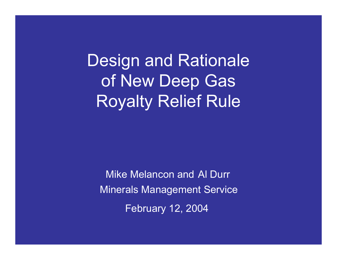Design and Rationale of New Deep Gas Royalty Relief Rule

Mike Melancon and Al DurrMinerals Management Service February 12, 2004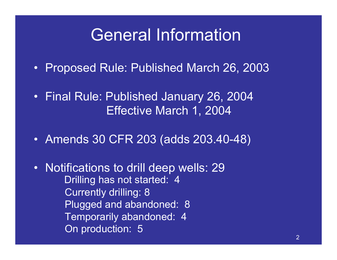### General Information

- Proposed Rule: Published March 26, 2003
- Final Rule: Published January 26, 2004 Effective March 1, 2004
- Amends 30 CFR 203 (adds 203.40-48)
- Notifications to drill deep wells: 29 Drilling has not started: 4 Currently drilling: 8 Plugged and abandoned: 8 Temporarily abandoned: 4 On production: 5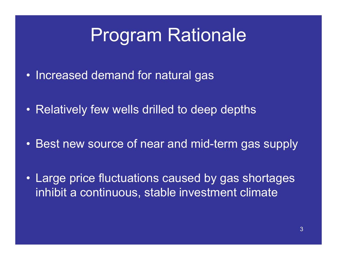## Program Rationale

- Increased demand for natural gas
- Relatively few wells drilled to deep depths
- Best new source of near and mid-term gas supply
- Large price fluctuations caused by gas shortages inhibit a continuous, stable investment climate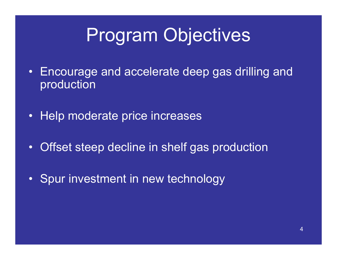# Program Objectives

- • Encourage and accelerate deep gas drilling and production
- $\bullet$ Help moderate price increases
- •Offset steep decline in shelf gas production
- •Spur investment in new technology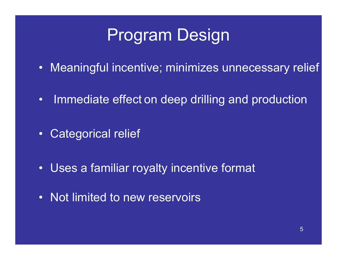## Program Design

- $\bullet$ Meaningful incentive; minimizes unnecessary relief
- $\bullet$ Immediate effect on deep drilling and production
- $\bullet$ Categorical relief
- $\bullet$ Uses a familiar royalty incentive format
- $\bullet$ Not limited to new reservoirs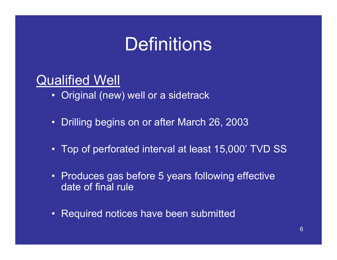## **Definitions**

### **Qualified Well**

- Original (new) well or a sidetrack
- Drilling begins on or after March 26, 2003
- Top of perforated interval at least 15,000' TVD SS
- Produces gas before 5 years following effective date of final rule
- Required notices have been submitted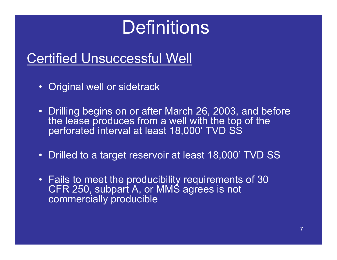## Definitions

### Certified Unsuccessful Well

- $\bullet$ Original well or sidetrack
- Drilling begins on or after March 26, 2003, and before the lease produces from a well with the top of the perforated interval at least 18,000' TVD SS
- $\bullet$ Drilled to a target reservoir at least 18,000' TVD SS
- Fails to meet the producibility requirements of 30 CFR 250, subpart A, or MMS agrees is not commercially producible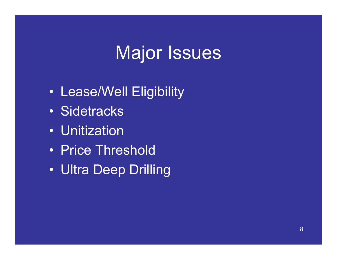## Major Issues

- $\bullet$ Lease/Well Eligibility
- Sidetracks
- Unitization
- Price Threshold
- Ultra Deep Drilling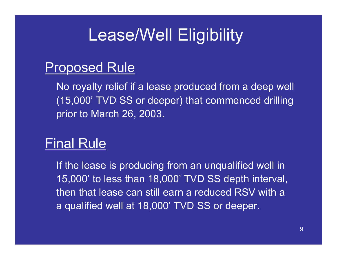### Proposed Rule

No royalty relief if a lease produced from a deep well (15,000' TVD SS or deeper) that commenced drilling prior to March 26, 2003.

### Final Rule

If the lease is producing from an unqualified well in 15,000' to less than 18,000' TVD SS depth interval, then that lease can still earn a reduced RSV with a a qualified well at 18,000' TVD SS or deeper.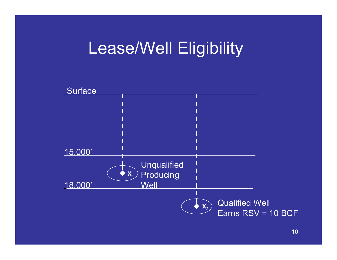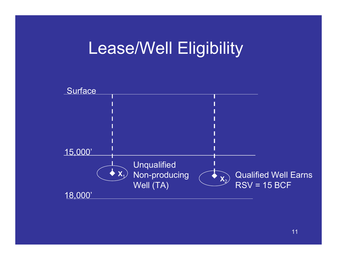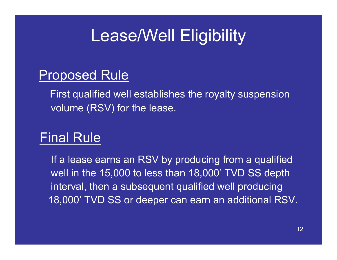### Proposed Rule

First qualified well establishes the royalty suspension volume (RSV) for the lease.

### Final Rule

If a lease earns an RSV by producing from a qualified well in the 15,000 to less than 18,000' TVD SS depth interval, then a subsequent qualified well producing 18,000' TVD SS or deeper can earn an additional RSV.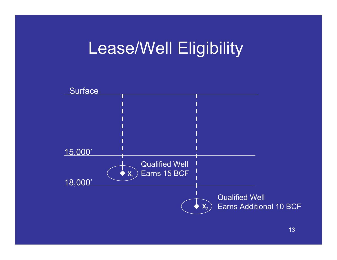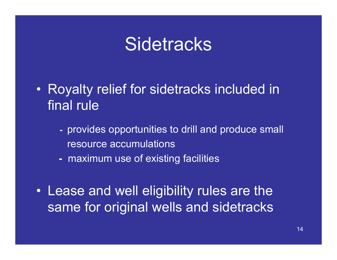- $\bullet$  Royalty relief for sidetracks included in final rule
	- provides opportunities to drill and produce small resource accumulations
	- maximum use of existing facilities
- Lease and well eligibility rules are the same for original wells and sidetracks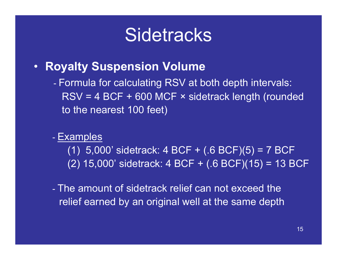$\bullet$ **Royalty Suspension Volume**

> Formula for calculating RSV at both depth intervals: RSV = 4 BCF + 600 MCF × sidetrack length (rounded to the nearest 100 feet)

#### -- <u>Examples</u>

(1) 5,000' sidetrack: 4 BCF + (.6 BCF)(5) = 7 BCF (2) 15,000' sidetrack: 4 BCF + (.6 BCF)(15) = 13 BCF

- The amount of sidetrack relief can not exceed therelief earned by an original well at the same depth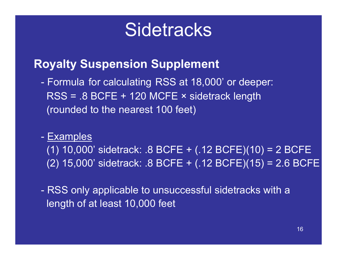### **Royalty Suspension Supplement**

**-** Formula for calculating RSS at 18,000' or deeper: RSS = .8 BCFE + 120 MCFE × sidetrack length (rounded to the nearest 100 feet)

#### **Examples**

(1) 10,000' sidetrack: .8 BCFE + (.12 BCFE)(10) = 2 BCFE (2) 15,000' sidetrack: .8 BCFE + (.12 BCFE)(15) = 2.6 BCFE

- RSS only applicable to unsuccessful sidetracks with a length of at least 10,000 feet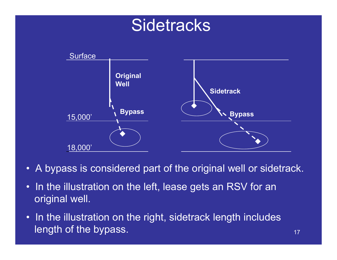

- A bypass is considered part of the original well or sidetrack.
- In the illustration on the left, lease gets an RSV for an original well.
- In the illustration on the right, sidetrack length includes length of the bypass. The contract of the structure of the structure of the structure of the structure of the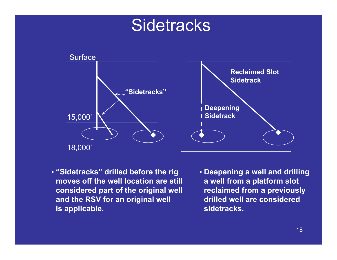

- **"Sidetracks" drilled before the rig moves off the well location are still considered part of the original well and the RSV for an original well is applicable.**
- **Deepening a well and drilling a well from a platform slot reclaimed from a previously drilled well are considered sidetracks.**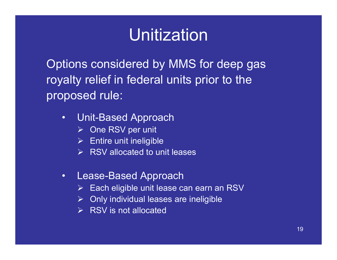Options considered by MMS for deep gas royalty relief in federal units prior to the proposed rule:

- $\bullet$  Unit-Based Approach
	- ¾ One RSV per unit
	- $\triangleright$  Entire unit ineligible
	- $\triangleright$  RSV allocated to unit leases
- $\bullet$  Lease-Based Approach
	- $\triangleright$  Each eligible unit lease can earn an RSV
	- $\triangleright$  Only individual leases are ineligible
	- $\triangleright$  RSV is not allocated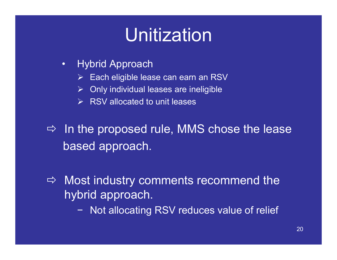- $\bullet$  Hybrid Approach
	- $\triangleright$ Each eligible lease can earn an RSV
	- $\blacktriangleright$ Only individual leases are ineligible
	- $\triangleright$  RSV allocated to unit leases
- $\Rightarrow$  In the proposed rule, MMS chose the lease based approach.
- $\Rightarrow$  Most industry comments recommend the hybrid approach.
	- − Not allocating RSV reduces value of relief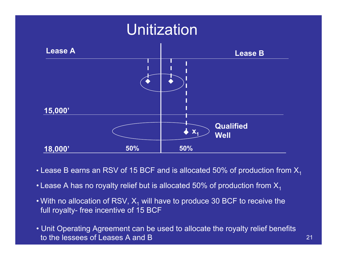

- $\bullet$  Lease B earns an RSV of 15 BCF and is allocated 50% of production from  $\mathsf{X}_1$
- Lease A has no royalty relief but is allocated 50% of production from  $\mathsf{X}_1$
- With no allocation of RSV,  $\mathsf{X}_\mathsf{1}$  will have to produce 30 BCF to receive the full royalty- free incentive of 15 BCF
- Unit Operating Agreement can be used to allocate the royalty relief benefits to the lessees of Leases A and B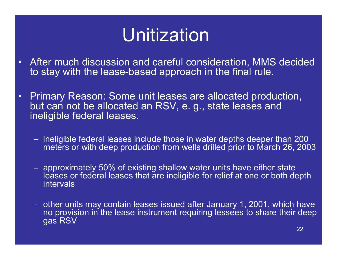- After much discussion and careful consideration, MMS decided to stay with the lease-based approach in the final rule.
- Primary Reason: Some unit leases are allocated production, but can not be allocated an RSV, e. g., state leases and ineligible federal leases.
	- ineligible federal leases include those in water depths deeper than 200 meters or with deep production from wells drilled prior to March 26, 2003
	- approximately 50% of existing shallow water units have either state leases or federal leases that are ineligible for relief at one or both depth intervals
	- other units may contain leases issued after January 1, 2001, which have no provision in the lease instrument requiring lessees to share their deep gas RSV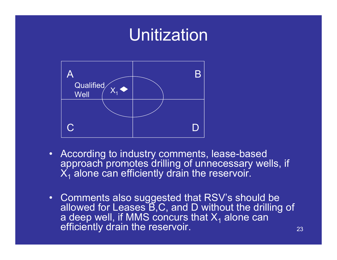

- According to industry comments, lease-based approach promotes drilling of unnecessary wells, if  $\mathsf{X}_1$  alone can efficiently drain the reservoir.
- $\bullet$  Comments also suggested that RSV's should be allowed for Leases B,C, and D without the drilling of a deep well, if MMS concurs that X<sub>1</sub> alone can<br>efficiently drain the reservoir.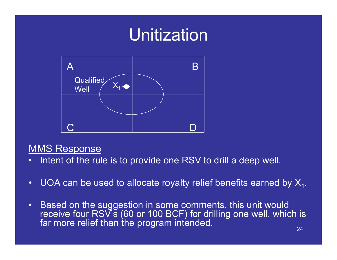

#### **MMS Response**

- •Intent of the rule is to provide one RSV to drill a deep well.
- •UOA can be used to allocate royalty relief benefits earned by  $X_1$ .
- $\bullet$ Based on the suggestion in some comments, this unit would receive four RSV's (60 or 100 BCF) for drilling one well, which is far more relief than the program intended.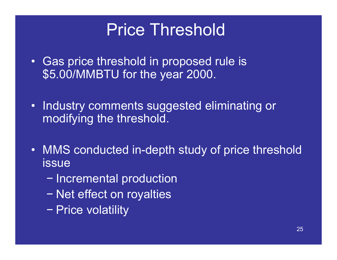## Price Threshold

- Gas price threshold in proposed rule is \$5.00/MMBTU for the year 2000.
- • Industry comments suggested eliminating or modifying the threshold.
- $\bullet$  MMS conducted in-depth study of price threshold issue
	- Incremental production
	- −- Net effect on royalties
	- Price volatility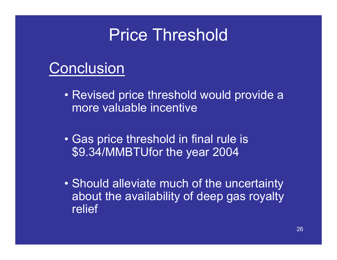### Price Threshold

### **Conclusion**

- Revised price threshold would provide a more valuable incentive
- Gas price threshold in final rule is \$9.34/MMBTUfor the year 2004
- Should alleviate much of the uncertainty about the availability of deep gas royalty relief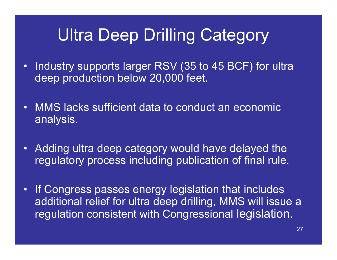## Ultra Deep Drilling Category

- Industry supports larger RSV (35 to 45 BCF) for ultra deep production below 20,000 feet.
- • MMS lacks sufficient data to conduct an economic analysis.
- Adding ultra deep category would have delayed the regulatory process including publication of final rule.
- $\bullet$ If Congress passes energy legislation that includes additional relief for ultra deep drilling, MMS will issue a regulation consistent with Congressional legislation.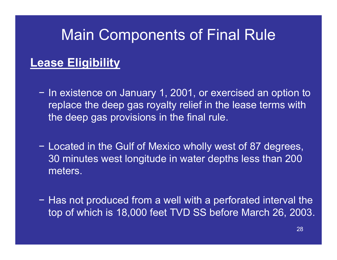### **Lease Eligibility**

- − In existence on January 1, 2001, or exercised an option to replace the deep gas royalty relief in the lease terms with the deep gas provisions in the final rule.
- − Located in the Gulf of Mexico wholly west of 87 degrees, 30 minutes west longitude in water depths less than 200 meters.
- − Has not produced from a well with a perforated interval the top of which is 18,000 feet TVD SS before March 26, 2003.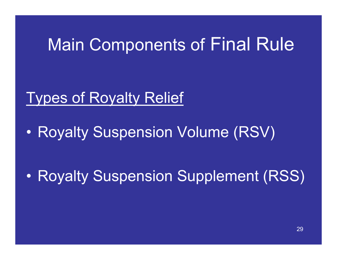### Types of Royalty Relief

 $\bullet$ Royalty Suspension Volume (RSV)

 $\bullet$ Royalty Suspension Supplement (RSS)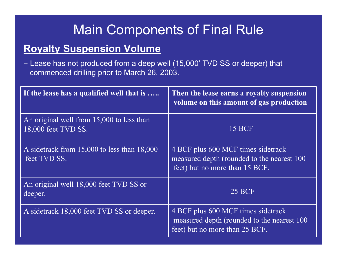### **Royalty Suspension Volume**

− Lease has not produced from a deep well (15,000' TVD SS or deeper) that commenced drilling prior to March 26, 2003.

| If the lease has a qualified well that is                        | Then the lease earns a royalty suspension<br>volume on this amount of gas production                                |
|------------------------------------------------------------------|---------------------------------------------------------------------------------------------------------------------|
| An original well from 15,000 to less than<br>18,000 feet TVD SS. | <b>15 BCF</b>                                                                                                       |
| A sidetrack from 15,000 to less than 18,000<br>feet TVD SS.      | 4 BCF plus 600 MCF times sidetrack<br>measured depth (rounded to the nearest 100)<br>feet) but no more than 15 BCF. |
| An original well 18,000 feet TVD SS or<br>deeper.                | <b>25 BCF</b>                                                                                                       |
| A sidetrack 18,000 feet TVD SS or deeper.                        | 4 BCF plus 600 MCF times sidetrack<br>measured depth (rounded to the nearest 100)<br>feet) but no more than 25 BCF. |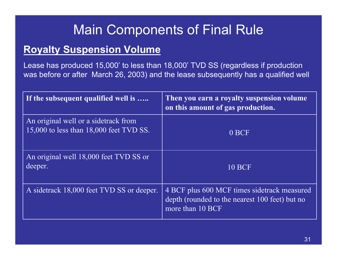#### **Royalty Suspension Volume**

Lease has produced 15,000' to less than 18,000' TVD SS (regardless if production was before or after March 26, 2003) and the lease subsequently has a qualified well

| If the subsequent qualified well is                                             | Then you earn a royalty suspension volume<br>on this amount of gas production.                                    |
|---------------------------------------------------------------------------------|-------------------------------------------------------------------------------------------------------------------|
| An original well or a sidetrack from<br>15,000 to less than 18,000 feet TVD SS. | 0 BCF                                                                                                             |
| An original well 18,000 feet TVD SS or<br>deeper.                               | <b>10 BCF</b>                                                                                                     |
| A sidetrack 18,000 feet TVD SS or deeper.                                       | 4 BCF plus 600 MCF times sidetrack measured<br>depth (rounded to the nearest 100 feet) but no<br>more than 10 BCF |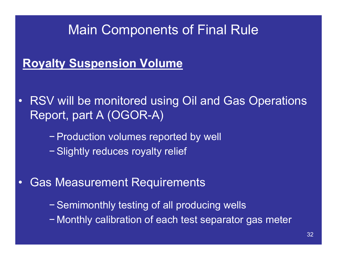### **Royalty Suspension Volume**

- RSV will be monitored using Oil and Gas Operations Report, part A (OGOR-A)
	- − Production volumes reported by well − Slightly reduces royalty relief
- • Gas Measurement Requirements
	- − Semimonthly testing of all producing wells
	- − Monthly calibration of each test separator gas meter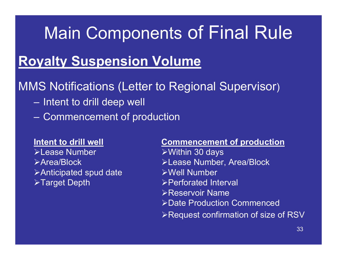### **Royalty Suspension Volume**

### MMS Notifications (Letter to Regional Supervisor)

- Intent to drill deep well
- Commencement of production

#### **Intent to drill well**

¾Lease Number¾Area/Block $\triangleright$  Anticipated spud date **≻Target Depth** 

#### **Commencement of production**

¾Within 30 days ¾Lease Number, Area/Block ¾Well Number ¾Perforated Interval ¾Reservoir Name ¾Date Production Commenced¾Request confirmation of size of RSV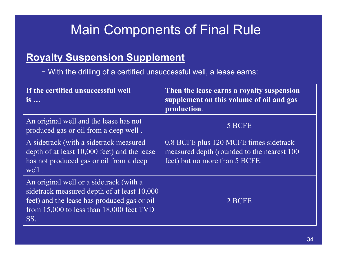### **Royalty Suspension Supplement**

− With the drilling of a certified unsuccessful well, a lease earns:

| If the certified unsuccessful well<br>$is \dots$                                                                                                                                             | Then the lease earns a royalty suspension<br>supplement on this volume of oil and gas<br>production.                    |
|----------------------------------------------------------------------------------------------------------------------------------------------------------------------------------------------|-------------------------------------------------------------------------------------------------------------------------|
| An original well and the lease has not<br>produced gas or oil from a deep well.                                                                                                              | 5 BCFE                                                                                                                  |
| A sidetrack (with a sidetrack measured<br>depth of at least 10,000 feet) and the lease<br>has not produced gas or oil from a deep<br>well.                                                   | 0.8 BCFE plus 120 MCFE times sidetrack<br>measured depth (rounded to the nearest 100)<br>feet) but no more than 5 BCFE. |
| An original well or a sidetrack (with a<br>sidetrack measured depth of at least 10,000<br>feet) and the lease has produced gas or oil<br>from $15,000$ to less than $18,000$ feet TVD<br>SS. | 2 BCFE                                                                                                                  |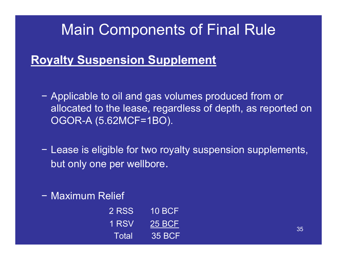### **Royalty Suspension Supplement**

- − Applicable to oil and gas volumes produced from or allocated to the lease, regardless of depth, as reported on OGOR-A (5.62MCF=1BO).
- − Lease is eligible for two royalty suspension supplements, but only one per wellbore.
- − Maximum Relief

| 2 RSS | 10 BCF        |
|-------|---------------|
| 1 RSV | 25 BCF        |
| Total | <b>35 BCF</b> |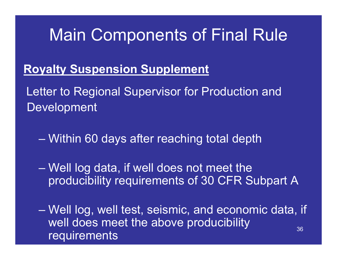### **Royalty Suspension Supplement**

Letter to Regional Supervisor for Production and Development

Within 60 days after reaching total depth

 Well log data, if well does not meet the producibility requirements of 30 CFR Subpart A

36 Well log, well test, seismic, and economic data, if well does meet the above producibility requirements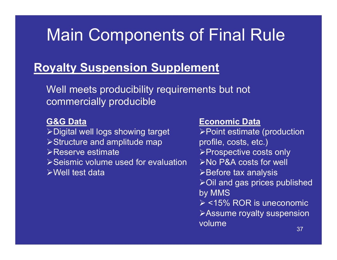### **Royalty Suspension Supplement**

Well meets producibility requirements but not commercially producible

**G&G Data** ¾Digital well logs showing target ¾Structure and amplitude map ¾Reserve estimate¾Seismic volume used for evaluation ¾Well test data

#### **Economic Data**

¾Point estimate (production profile, costs, etc.) ¾Prospective costs only ¾No P&A costs for well **≻Before tax analysis** ¾Oil and gas prices published by MMS  $\triangleright$  <15% ROR is uneconomic ¾Assume royalty suspension volume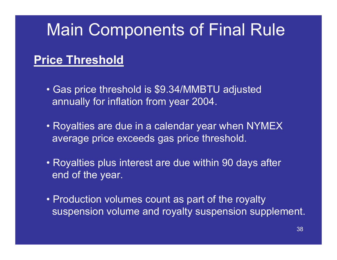### **Price Threshold**

- Gas price threshold is \$9.34/MMBTU adjusted annually for inflation from year 2004.
- Royalties are due in a calendar year when NYMEX average price exceeds gas price threshold.
- Royalties plus interest are due within 90 days after end of the year.
- Production volumes count as part of the royalty suspension volume and royalty suspension supplement.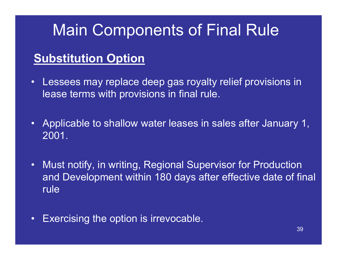### **Substitution Option**

- •Lessees may replace deep gas royalty relief provisions in lease terms with provisions in final rule.
- $\bullet$  Applicable to shallow water leases in sales after January 1, 2001.
- • Must notify, in writing, Regional Supervisor for Production and Development within 180 days after effective date of final rule
- $\bullet$ Exercising the option is irrevocable.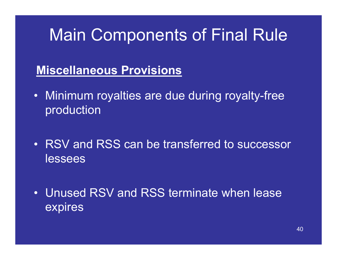### **Miscellaneous Provisions**

- Minimum royalties are due during royalty-free production
- RSV and RSS can be transferred to successor lessees
- Unused RSV and RSS terminate when lease expires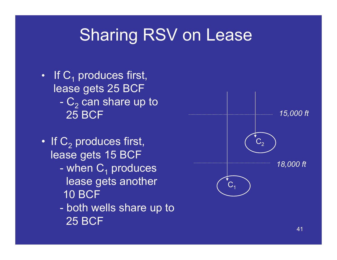## Sharing RSV on Lease

- If  $\textsf{C}_\textsf{1}$  produces first, lease gets 25 BCF -  $\mathsf{C}_2$  can share up to 25 BCF
- If  $\mathsf{C}_2$  produces first, lease gets 15 BCF
	- when  $\mathsf{C}_1$  produces  $^1$ lease gets another 10 BCF
	- both wells share up to 25 BCF

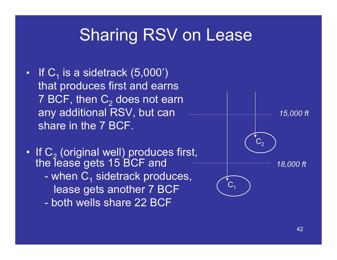## Sharing RSV on Lease

- If  $C_1$  is a sidetrack (5,000') that produces first and earns 7 BCF, then  $\mathsf{C}_2$  does not earn any additional RSV, but can share in the 7 BCF.
- If  $\mathsf{C}_2$ If C<sub>2</sub> (original well) produces first,<br>the lease gets 15 BCF and when  $\mathsf{C}_\mathsf{1}$  sidetrack produces, lease gets another 7 BCF - both wells share 22 BCF

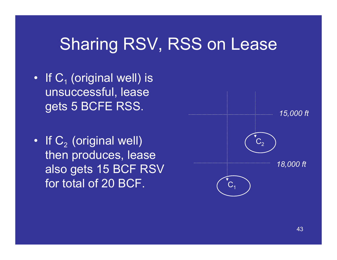## Sharing RSV, RSS on Lease

- If  $\mathsf{C}_\text{\tiny{1}}$  (original well) is unsuccessful, lease gets 5 BCFE RSS.
- If  $\mathsf{C}_2$  (original well)  $\overline{\phantom{a}}$ then produces, lease also gets 15 BCF RSV for total of 20 BCF.

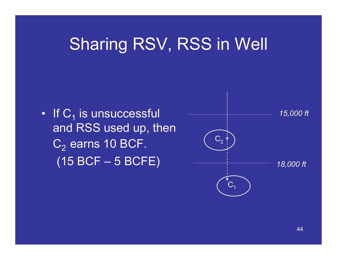## Sharing RSV, RSS in Well

• If  $\mathsf{C}_1$  is unsuccessful and RSS used up, then  $C_2$  earns 10 BCF.

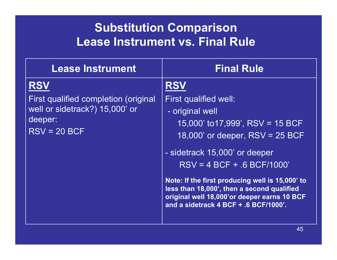### **Substitution Comparison Lease Instrument vs. Final Rule**

| <b>Lease Instrument</b>                                                                                           | <b>Final Rule</b>                                                                                                                                                                                                                                      |
|-------------------------------------------------------------------------------------------------------------------|--------------------------------------------------------------------------------------------------------------------------------------------------------------------------------------------------------------------------------------------------------|
| <b>RSV</b><br>First qualified completion (original<br>well or sidetrack?) 15,000' or<br>deeper:<br>$RSV = 20 BCF$ | First qualified well:<br>- original well<br>15,000' to 17,999', RSV = 15 BCF<br>18,000' or deeper, $RSV = 25 BCF$                                                                                                                                      |
|                                                                                                                   | - sidetrack 15,000' or deeper<br>$RSV = 4 BCF + .6 BCF/1000'$<br>Note: If the first producing well is 15,000' to<br>less than 18,000', then a second qualified<br>original well 18,000'or deeper earns 10 BCF<br>and a sidetrack 4 BCF + .6 BCF/1000'. |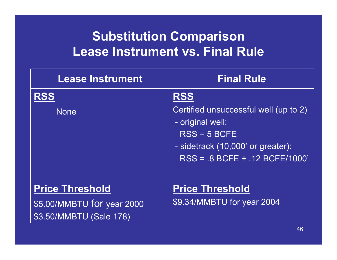### **Substitution Comparison Lease Instrument vs. Final Rule**

| <b>Lease Instrument</b>                                                         | <b>Final Rule</b>                                                                                                                                                    |
|---------------------------------------------------------------------------------|----------------------------------------------------------------------------------------------------------------------------------------------------------------------|
| <b>None</b>                                                                     | <b>RSS</b><br>Certified unsuccessful well (up to 2)<br>- original well:<br>$RSS = 5 BCFE$<br>- sidetrack (10,000' or greater):<br>$RSS = 0.8 BCFE + 0.12 BCFE/1000'$ |
| <b>Price Threshold</b><br>\$5.00/MMBTU for year 2000<br>\$3.50/MMBTU (Sale 178) | <b>Price Threshold</b><br>\$9.34/MMBTU for year 2004                                                                                                                 |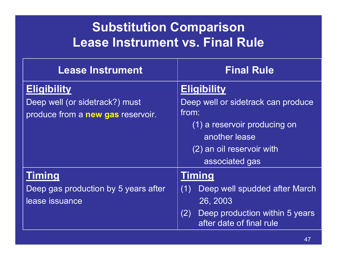### **Substitution Comparison Lease Instrument vs. Final Rule**

| <b>Lease Instrument</b>              | <b>Final Rule</b>                                                 |
|--------------------------------------|-------------------------------------------------------------------|
| <b>Eligibility</b>                   | <b>Eligibility</b>                                                |
| Deep well (or sidetrack?) must       | Deep well or sidetrack can produce                                |
| produce from a new gas reservoir.    | from:                                                             |
|                                      | (1) a reservoir producing on                                      |
|                                      | another lease                                                     |
|                                      | (2) an oil reservoir with                                         |
|                                      | associated gas                                                    |
| Timing                               | <b>Timing</b>                                                     |
| Deep gas production by 5 years after | Deep well spudded after March<br>(1)                              |
| lease issuance                       | 26, 2003                                                          |
|                                      | (2)<br>Deep production within 5 years<br>after date of final rule |